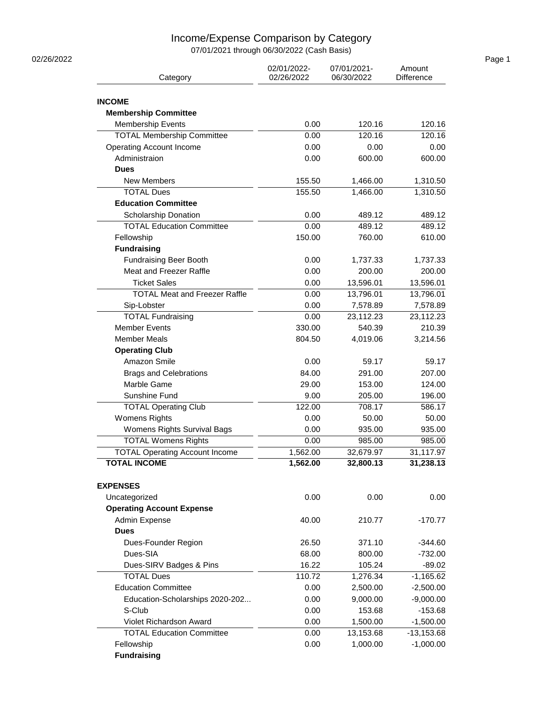## Income/Expense Comparison by Category

07/01/2021 through 06/30/2022 (Cash Basis)

| 02/26/2022 |                                                              |                           |                           |                        | Page 1 |
|------------|--------------------------------------------------------------|---------------------------|---------------------------|------------------------|--------|
|            | Category                                                     | 02/01/2022-<br>02/26/2022 | 07/01/2021-<br>06/30/2022 | Amount<br>Difference   |        |
|            |                                                              |                           |                           |                        |        |
|            | <b>INCOME</b>                                                |                           |                           |                        |        |
|            | <b>Membership Committee</b>                                  |                           |                           |                        |        |
|            | <b>Membership Events</b>                                     | 0.00                      | 120.16                    | 120.16                 |        |
|            | <b>TOTAL Membership Committee</b>                            | 0.00                      | 120.16                    | 120.16                 |        |
|            | <b>Operating Account Income</b>                              | 0.00                      | 0.00                      | 0.00                   |        |
|            | Administraion                                                | 0.00                      | 600.00                    | 600.00                 |        |
|            | <b>Dues</b>                                                  |                           |                           |                        |        |
|            | New Members                                                  | 155.50                    | 1,466.00                  | 1,310.50               |        |
|            | <b>TOTAL Dues</b>                                            | 155.50                    | 1,466.00                  | 1,310.50               |        |
|            | <b>Education Committee</b>                                   |                           |                           |                        |        |
|            | Scholarship Donation                                         | 0.00                      | 489.12                    | 489.12                 |        |
|            | <b>TOTAL Education Committee</b>                             | 0.00                      | 489.12                    | 489.12                 |        |
|            | Fellowship                                                   | 150.00                    | 760.00                    | 610.00                 |        |
|            | <b>Fundraising</b>                                           |                           |                           |                        |        |
|            | <b>Fundraising Beer Booth</b>                                | 0.00                      | 1,737.33                  | 1,737.33               |        |
|            | Meat and Freezer Raffle                                      | 0.00                      | 200.00                    | 200.00                 |        |
|            | <b>Ticket Sales</b>                                          | 0.00                      | 13,596.01                 | 13,596.01              |        |
|            | <b>TOTAL Meat and Freezer Raffle</b>                         | 0.00                      | 13,796.01                 | 13,796.01              |        |
|            | Sip-Lobster                                                  | 0.00                      | 7,578.89                  | 7,578.89               |        |
|            | <b>TOTAL Fundraising</b>                                     | 0.00                      | 23,112.23                 | 23,112.23              |        |
|            | <b>Member Events</b>                                         | 330.00                    | 540.39                    | 210.39                 |        |
|            | <b>Member Meals</b>                                          | 804.50                    | 4,019.06                  | 3,214.56               |        |
|            | <b>Operating Club</b>                                        |                           |                           |                        |        |
|            | Amazon Smile                                                 | 0.00                      | 59.17                     | 59.17                  |        |
|            | <b>Brags and Celebrations</b>                                | 84.00                     | 291.00                    | 207.00                 |        |
|            | Marble Game                                                  | 29.00                     | 153.00                    | 124.00                 |        |
|            |                                                              |                           |                           |                        |        |
|            | Sunshine Fund                                                | 9.00                      | 205.00                    | 196.00                 |        |
|            | <b>TOTAL Operating Club</b>                                  | 122.00                    | 708.17                    | 586.17                 |        |
|            | <b>Womens Rights</b>                                         | 0.00                      | 50.00                     | 50.00                  |        |
|            | Womens Rights Survival Bags                                  | 0.00                      | 935.00                    | 935.00                 |        |
|            | <b>TOTAL Womens Rights</b>                                   | 0.00                      | 985.00                    | 985.00                 |        |
|            | <b>TOTAL Operating Account Income</b><br><b>TOTAL INCOME</b> | 1,562.00<br>1,562.00      | 32,679.97<br>32,800.13    | 31,117.97<br>31,238.13 |        |
|            |                                                              |                           |                           |                        |        |
|            | <b>EXPENSES</b>                                              |                           |                           |                        |        |
|            | Uncategorized                                                | 0.00                      | 0.00                      | 0.00                   |        |
|            | <b>Operating Account Expense</b>                             |                           |                           |                        |        |
|            | Admin Expense                                                | 40.00                     | 210.77                    | $-170.77$              |        |
|            | <b>Dues</b>                                                  |                           |                           |                        |        |
|            | Dues-Founder Region                                          | 26.50                     | 371.10                    | $-344.60$              |        |
|            | Dues-SIA                                                     | 68.00                     | 800.00                    | $-732.00$              |        |
|            | Dues-SIRV Badges & Pins                                      | 16.22                     | 105.24                    | $-89.02$               |        |
|            | <b>TOTAL Dues</b>                                            | 110.72                    | 1,276.34                  | $-1,165.62$            |        |
|            | <b>Education Committee</b>                                   | 0.00                      | 2,500.00                  | $-2,500.00$            |        |
|            | Education-Scholarships 2020-202                              | 0.00                      | 9,000.00                  | $-9,000.00$            |        |
|            | S-Club                                                       | 0.00                      | 153.68                    | $-153.68$              |        |
|            | Violet Richardson Award                                      | 0.00                      | 1,500.00                  | $-1,500.00$            |        |
|            | <b>TOTAL Education Committee</b>                             | 0.00                      | 13,153.68                 | $-13,153.68$           |        |
|            | Fellowship                                                   | 0.00                      | 1,000.00                  | $-1,000.00$            |        |
|            | <b>Fundraising</b>                                           |                           |                           |                        |        |